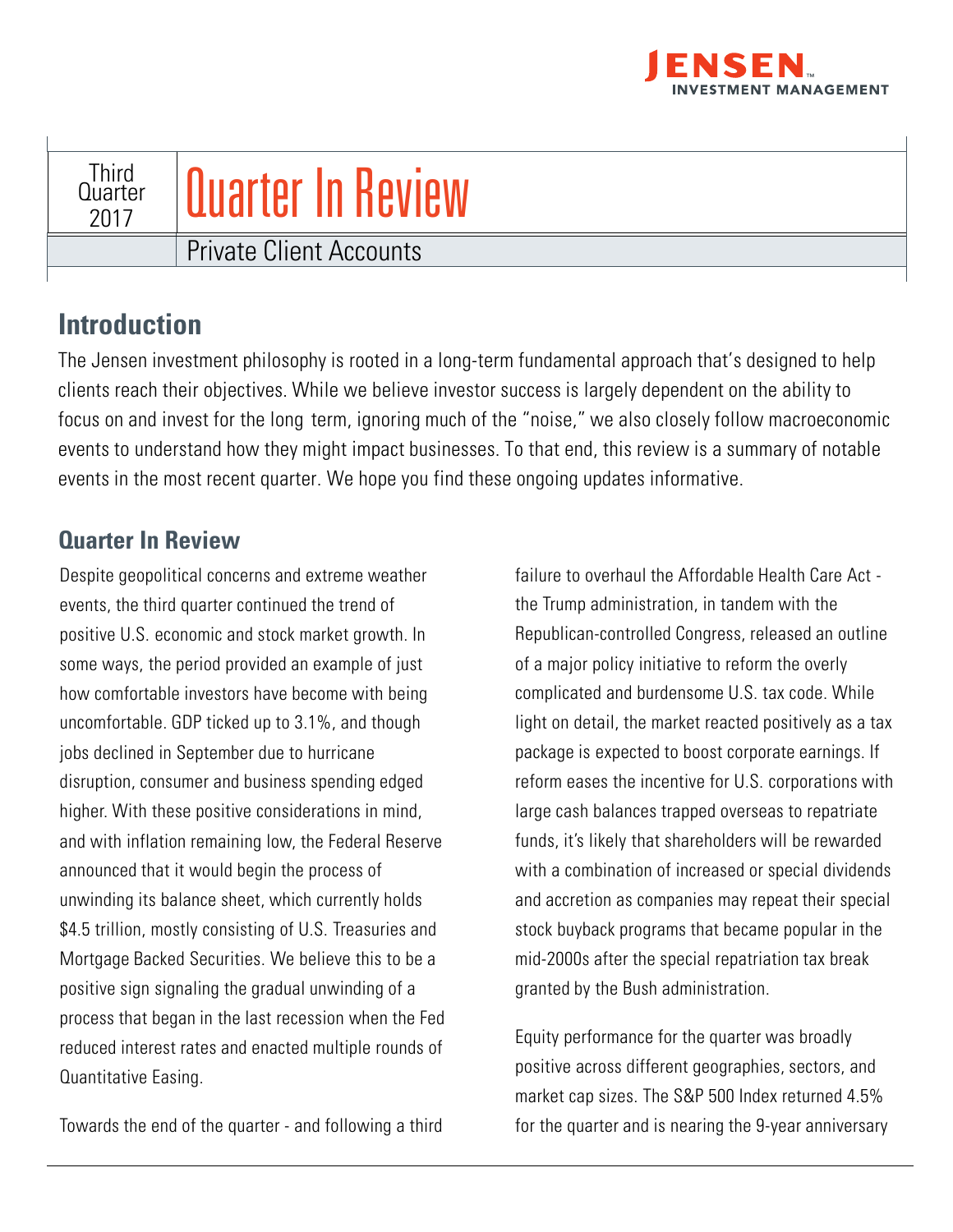

## **Third** Quarter 2017 Private Client Accounts Quarter In Review

## **Introduction**

The Jensen investment philosophy is rooted in a long-term fundamental approach that's designed to help clients reach their objectives. While we believe investor success is largely dependent on the ability to focus on and invest for the long term, ignoring much of the "noise," we also closely follow macroeconomic events to understand how they might impact businesses. To that end, this review is a summary of notable events in the most recent quarter. We hope you find these ongoing updates informative.

## **Quarter In Review**

Despite geopolitical concerns and extreme weather events, the third quarter continued the trend of positive U.S. economic and stock market growth. In some ways, the period provided an example of just how comfortable investors have become with being uncomfortable. GDP ticked up to 3.1%, and though jobs declined in September due to hurricane disruption, consumer and business spending edged higher. With these positive considerations in mind, and with inflation remaining low, the Federal Reserve announced that it would begin the process of unwinding its balance sheet, which currently holds \$4.5 trillion, mostly consisting of U.S. Treasuries and Mortgage Backed Securities. We believe this to be a positive sign signaling the gradual unwinding of a process that began in the last recession when the Fed reduced interest rates and enacted multiple rounds of Quantitative Easing.

Towards the end of the quarter - and following a third

failure to overhaul the Affordable Health Care Act the Trump administration, in tandem with the Republican-controlled Congress, released an outline of a major policy initiative to reform the overly complicated and burdensome U.S. tax code. While light on detail, the market reacted positively as a tax package is expected to boost corporate earnings. If reform eases the incentive for U.S. corporations with large cash balances trapped overseas to repatriate funds, it's likely that shareholders will be rewarded with a combination of increased or special dividends and accretion as companies may repeat their special stock buyback programs that became popular in the mid-2000s after the special repatriation tax break granted by the Bush administration.

Equity performance for the quarter was broadly positive across different geographies, sectors, and market cap sizes. The S&P 500 Index returned 4.5% for the quarter and is nearing the 9-year anniversary